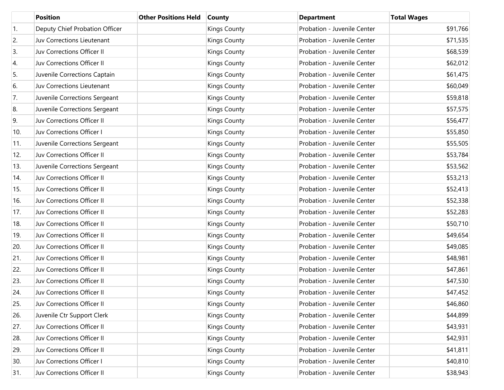|                  | <b>Position</b>                | <b>Other Positions Held</b> | <b>County</b>       | <b>Department</b>           | <b>Total Wages</b> |
|------------------|--------------------------------|-----------------------------|---------------------|-----------------------------|--------------------|
| $\overline{1}$ . | Deputy Chief Probation Officer |                             | <b>Kings County</b> | Probation - Juvenile Center | \$91,766           |
| 2.               | Juv Corrections Lieutenant     |                             | <b>Kings County</b> | Probation - Juvenile Center | \$71,535           |
| 3.               | Juv Corrections Officer II     |                             | <b>Kings County</b> | Probation - Juvenile Center | \$68,539           |
| 4.               | Juv Corrections Officer II     |                             | <b>Kings County</b> | Probation - Juvenile Center | \$62,012           |
| 5.               | Juvenile Corrections Captain   |                             | <b>Kings County</b> | Probation - Juvenile Center | \$61,475           |
| 6.               | Juv Corrections Lieutenant     |                             | <b>Kings County</b> | Probation - Juvenile Center | \$60,049           |
| 7.               | Juvenile Corrections Sergeant  |                             | <b>Kings County</b> | Probation - Juvenile Center | \$59,818           |
| 8.               | Juvenile Corrections Sergeant  |                             | <b>Kings County</b> | Probation - Juvenile Center | \$57,575           |
| 9.               | Juv Corrections Officer II     |                             | <b>Kings County</b> | Probation - Juvenile Center | \$56,477           |
| 10.              | Juv Corrections Officer I      |                             | <b>Kings County</b> | Probation - Juvenile Center | \$55,850           |
| 11.              | Juvenile Corrections Sergeant  |                             | <b>Kings County</b> | Probation - Juvenile Center | \$55,505           |
| 12.              | Juv Corrections Officer II     |                             | <b>Kings County</b> | Probation - Juvenile Center | \$53,784           |
| 13.              | Juvenile Corrections Sergeant  |                             | <b>Kings County</b> | Probation - Juvenile Center | \$53,562           |
| 14.              | Juv Corrections Officer II     |                             | <b>Kings County</b> | Probation - Juvenile Center | \$53,213           |
| 15.              | Juv Corrections Officer II     |                             | <b>Kings County</b> | Probation - Juvenile Center | \$52,413           |
| 16.              | Juv Corrections Officer II     |                             | <b>Kings County</b> | Probation - Juvenile Center | \$52,338           |
| 17.              | Juv Corrections Officer II     |                             | <b>Kings County</b> | Probation - Juvenile Center | \$52,283           |
| 18.              | Juv Corrections Officer II     |                             | <b>Kings County</b> | Probation - Juvenile Center | \$50,710           |
| 19.              | Juv Corrections Officer II     |                             | <b>Kings County</b> | Probation - Juvenile Center | \$49,654           |
| 20.              | Juv Corrections Officer II     |                             | <b>Kings County</b> | Probation - Juvenile Center | \$49,085           |
| 21.              | Juv Corrections Officer II     |                             | <b>Kings County</b> | Probation - Juvenile Center | \$48,981           |
| 22.              | Juv Corrections Officer II     |                             | <b>Kings County</b> | Probation - Juvenile Center | \$47,861           |
| 23.              | Juv Corrections Officer II     |                             | <b>Kings County</b> | Probation - Juvenile Center | \$47,530           |
| 24.              | Juv Corrections Officer II     |                             | <b>Kings County</b> | Probation - Juvenile Center | \$47,452           |
| 25.              | Juv Corrections Officer II     |                             | <b>Kings County</b> | Probation - Juvenile Center | \$46,860           |
| 26.              | Juvenile Ctr Support Clerk     |                             | <b>Kings County</b> | Probation - Juvenile Center | \$44,899           |
| 27.              | Juv Corrections Officer II     |                             | <b>Kings County</b> | Probation - Juvenile Center | \$43,931           |
| 28.              | Juv Corrections Officer II     |                             | <b>Kings County</b> | Probation - Juvenile Center | \$42,931           |
| 29.              | Juv Corrections Officer II     |                             | <b>Kings County</b> | Probation - Juvenile Center | \$41,811           |
| 30.              | Juv Corrections Officer I      |                             | <b>Kings County</b> | Probation - Juvenile Center | \$40,810           |
| 31.              | Juv Corrections Officer II     |                             | <b>Kings County</b> | Probation - Juvenile Center | \$38,943           |